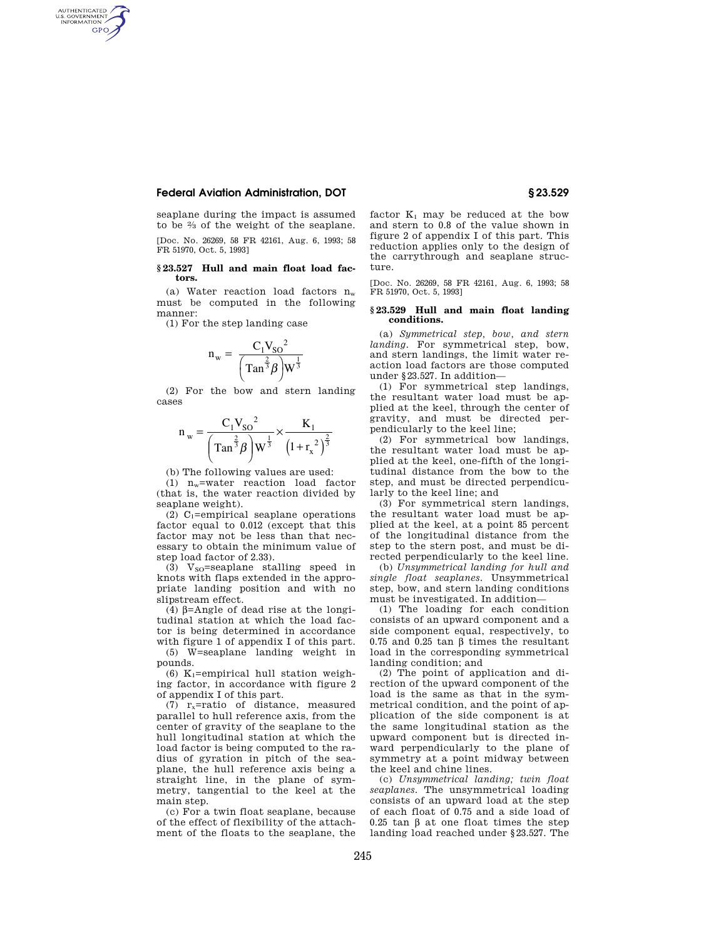## **Federal Aviation Administration, DOT § 23.529**

AUTHENTICATED<br>U.S. GOVERNMENT<br>INFORMATION **GPO** 

> seaplane during the impact is assumed to be 2⁄3 of the weight of the seaplane. [Doc. No. 26269, 58 FR 42161, Aug. 6, 1993; 58 FR 51970, Oct. 5, 1993]

### **§ 23.527 Hull and main float load factors.**

(a) Water reaction load factors  $n_w$ must be computed in the following manner:

(1) For the step landing case

$$
n_w = \frac{C_1 V_{SO}^2}{\left(\text{Tan}^{\frac{2}{3}} \beta\right) W^{\frac{1}{3}}}
$$

(2) For the bow and stern landing cases

$$
n_{w} = \frac{C_{1}V_{SO}^{2}}{\left(Tan^{\frac{2}{3}}\beta\right)W^{\frac{1}{3}}} \times \frac{K_{1}}{\left(1+r_{x}^{2}\right)^{\frac{2}{3}}}
$$

(b) The following values are used:

(1) nw=water reaction load factor (that is, the water reaction divided by seaplane weight).

(2)  $C_1$ =empirical seaplane operations factor equal to 0.012 (except that this factor may not be less than that necessary to obtain the minimum value of step load factor of 2.33).

(3)  $V_{SO}$ =seaplane stalling speed in knots with flaps extended in the appropriate landing position and with no slipstream effect.

(4)  $\beta$ =Angle of dead rise at the longitudinal station at which the load factor is being determined in accordance with figure 1 of appendix I of this part.

(5) W=seaplane landing weight in pounds.

(6) K<sub>1</sub>=empirical hull station weighing factor, in accordance with figure 2 of appendix I of this part.

(7)  $r_x$ =ratio of distance, measured parallel to hull reference axis, from the center of gravity of the seaplane to the hull longitudinal station at which the load factor is being computed to the radius of gyration in pitch of the seaplane, the hull reference axis being a straight line, in the plane of symmetry, tangential to the keel at the main step.

(c) For a twin float seaplane, because of the effect of flexibility of the attachment of the floats to the seaplane, the factor  $K_1$  may be reduced at the bow and stern to 0.8 of the value shown in figure 2 of appendix I of this part. This reduction applies only to the design of the carrythrough and seaplane structure.

[Doc. No. 26269, 58 FR 42161, Aug. 6, 1993; 58 FR 51970, Oct. 5, 1993]

## **§ 23.529 Hull and main float landing conditions.**

(a) *Symmetrical step, bow, and stern landing.* For symmetrical step, bow, and stern landings, the limit water reaction load factors are those computed under §23.527. In addition—

(1) For symmetrical step landings, the resultant water load must be applied at the keel, through the center of gravity, and must be directed perpendicularly to the keel line;

(2) For symmetrical bow landings, the resultant water load must be applied at the keel, one-fifth of the longitudinal distance from the bow to the step, and must be directed perpendicularly to the keel line; and

(3) For symmetrical stern landings, the resultant water load must be applied at the keel, at a point 85 percent of the longitudinal distance from the step to the stern post, and must be directed perpendicularly to the keel line.

(b) *Unsymmetrical landing for hull and single float seaplanes.* Unsymmetrical step, bow, and stern landing conditions must be investigated. In addition—

(1) The loading for each condition consists of an upward component and a side component equal, respectively, to 0.75 and 0.25 tan b times the resultant load in the corresponding symmetrical landing condition; and

(2) The point of application and direction of the upward component of the load is the same as that in the symmetrical condition, and the point of application of the side component is at the same longitudinal station as the upward component but is directed inward perpendicularly to the plane of symmetry at a point midway between the keel and chine lines.

(c) *Unsymmetrical landing; twin float seaplanes.* The unsymmetrical loading consists of an upward load at the step of each float of 0.75 and a side load of 0.25 tan  $\beta$  at one float times the step landing load reached under §23.527. The